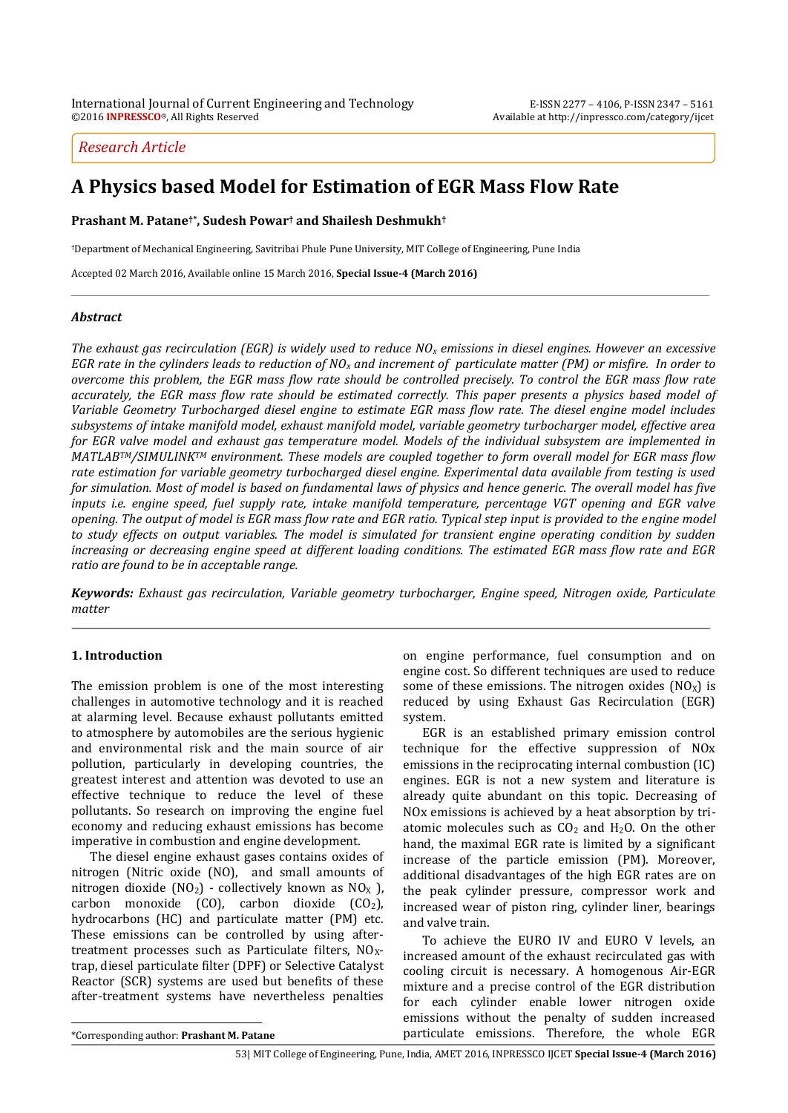# *Research Article*

# **A Physics based Model for Estimation of EGR Mass Flow Rate**

## **Prashant M. Patane†\* , Sudesh Powar† and Shailesh Deshmukh†**

†Department of Mechanical Engineering, Savitribai Phule Pune University, MIT College of Engineering, Pune India

Accepted 02 March 2016, Available online 15 March 2016, **Special Issue-4 (March 2016)**

## *Abstract*

*The exhaust gas recirculation (EGR) is widely used to reduce NO<sup>x</sup> emissions in diesel engines. However an excessive EGR rate in the cylinders leads to reduction of NO<sup>x</sup> and increment of particulate matter (PM) or misfire. In order to overcome this problem, the EGR mass flow rate should be controlled precisely. To control the EGR mass flow rate accurately, the EGR mass flow rate should be estimated correctly. This paper presents a physics based model of Variable Geometry Turbocharged diesel engine to estimate EGR mass flow rate. The diesel engine model includes subsystems of intake manifold model, exhaust manifold model, variable geometry turbocharger model, effective area for EGR valve model and exhaust gas temperature model. Models of the individual subsystem are implemented in MATLABTM/SIMULINKTM environment. These models are coupled together to form overall model for EGR mass flow rate estimation for variable geometry turbocharged diesel engine. Experimental data available from testing is used for simulation. Most of model is based on fundamental laws of physics and hence generic. The overall model has five inputs i.e. engine speed, fuel supply rate, intake manifold temperature, percentage VGT opening and EGR valve opening. The output of model is EGR mass flow rate and EGR ratio. Typical step input is provided to the engine model to study effects on output variables. The model is simulated for transient engine operating condition by sudden increasing or decreasing engine speed at different loading conditions. The estimated EGR mass flow rate and EGR ratio are found to be in acceptable range.* 

*Keywords: Exhaust gas recirculation, Variable geometry turbocharger, Engine speed, Nitrogen oxide, Particulate matter*

## **1. Introduction**

The emission problem is one of the most interesting challenges in automotive technology and it is reached at alarming level. Because exhaust pollutants emitted to atmosphere by automobiles are the serious hygienic and environmental risk and the main source of air pollution, particularly in developing countries, the greatest interest and attention was devoted to use an effective technique to reduce the level of these pollutants. So research on improving the engine fuel economy and reducing exhaust emissions has become imperative in combustion and engine development.

The diesel engine exhaust gases contains oxides of nitrogen (Nitric oxide (NO), and small amounts of nitrogen dioxide (NO<sub>2</sub>) - collectively known as NO<sub>X</sub>), carbon monoxide  $(CO)$ , carbon dioxide  $(CO<sub>2</sub>)$ , hydrocarbons (HC) and particulate matter (PM) etc. These emissions can be controlled by using aftertreatment processes such as Particulate filters,  $NO<sub>X</sub>$ trap, diesel particulate filter (DPF) or Selective Catalyst Reactor (SCR) systems are used but benefits of these after-treatment systems have nevertheless penalties on engine performance, fuel consumption and on engine cost. So different techniques are used to reduce some of these emissions. The nitrogen oxides  $(NO<sub>X</sub>)$  is reduced by using Exhaust Gas Recirculation (EGR) system.

EGR is an established primary emission control technique for the effective suppression of NOx emissions in the reciprocating internal combustion (IC) engines. EGR is not a new system and literature is already quite abundant on this topic. Decreasing of NOx emissions is achieved by a heat absorption by triatomic molecules such as  $CO<sub>2</sub>$  and  $H<sub>2</sub>O$ . On the other hand, the maximal EGR rate is limited by a significant increase of the particle emission (PM). Moreover, additional disadvantages of the high EGR rates are on the peak cylinder pressure, compressor work and increased wear of piston ring, cylinder liner, bearings and valve train.

To achieve the EURO IV and EURO V levels, an increased amount of the exhaust recirculated gas with cooling circuit is necessary. A homogenous Air-EGR mixture and a precise control of the EGR distribution for each cylinder enable lower nitrogen oxide emissions without the penalty of sudden increased particulate emissions. Therefore, the whole EGR

 $\overline{a}$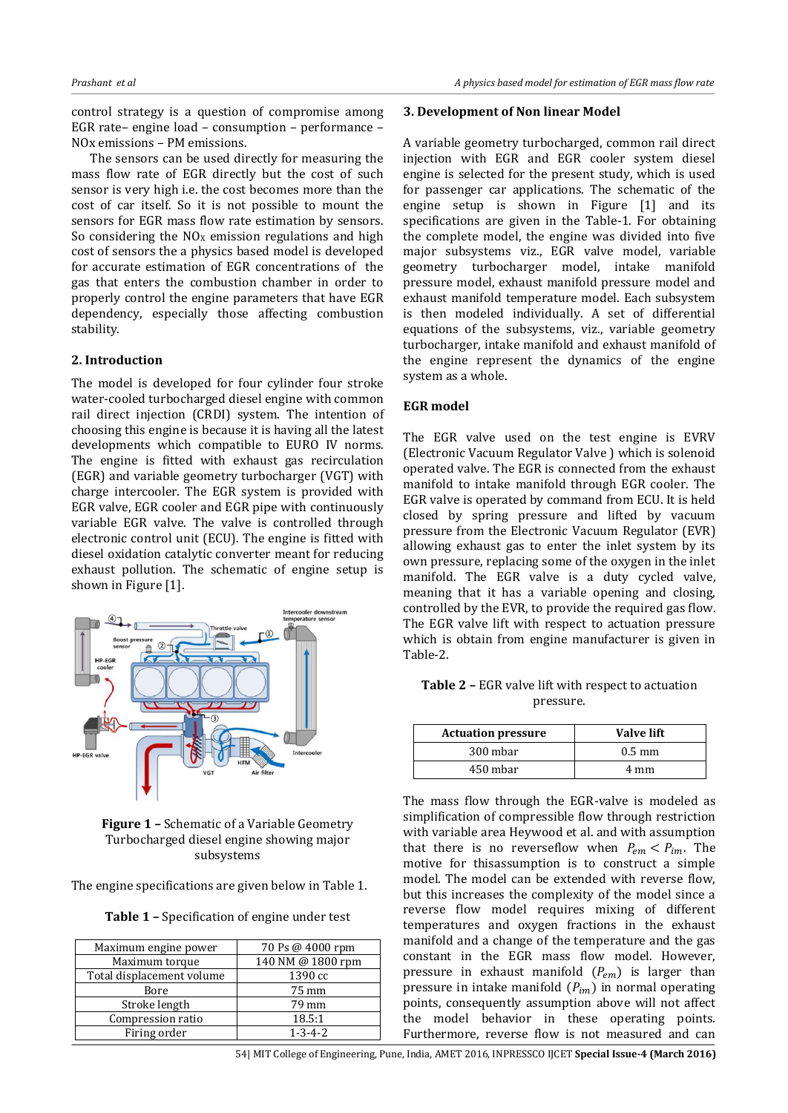control strategy is a question of compromise among EGR rate– engine load – consumption – performance – NOx emissions – PM emissions.

The sensors can be used directly for measuring the mass flow rate of EGR directly but the cost of such sensor is very high i.e. the cost becomes more than the cost of car itself. So it is not possible to mount the sensors for EGR mass flow rate estimation by sensors. So considering the  $NO<sub>X</sub>$  emission regulations and high cost of sensors the a physics based model is developed for accurate estimation of EGR concentrations of the gas that enters the combustion chamber in order to properly control the engine parameters that have EGR dependency, especially those affecting combustion stability.

## **2. Introduction**

The model is developed for four cylinder four stroke water-cooled turbocharged diesel engine with common rail direct injection (CRDI) system. The intention of choosing this engine is because it is having all the latest developments which compatible to EURO IV norms. The engine is fitted with exhaust gas recirculation (EGR) and variable geometry turbocharger (VGT) with charge intercooler. The EGR system is provided with EGR valve, EGR cooler and EGR pipe with continuously variable EGR valve. The valve is controlled through electronic control unit (ECU). The engine is fitted with diesel oxidation catalytic converter meant for reducing exhaust pollution. The schematic of engine setup is shown in Figure [1].



**Figure 1 –** Schematic of a Variable Geometry Turbocharged diesel engine showing major subsystems

The engine specifications are given below in Table 1.

|  |  | Table 1 - Specification of engine under test |  |  |  |  |
|--|--|----------------------------------------------|--|--|--|--|
|--|--|----------------------------------------------|--|--|--|--|

| Maximum engine power      | 70 Ps @ 4000 rpm  |  |
|---------------------------|-------------------|--|
| Maximum torque            | 140 NM @ 1800 rpm |  |
| Total displacement volume | 1390 cc           |  |
| Bore                      | 75 mm             |  |
| Stroke length             | 79 mm             |  |
| Compression ratio         | 18.5:1            |  |
| Firing order              | $1 - 3 - 4 - 2$   |  |

### **3. Development of Non linear Model**

A variable geometry turbocharged, common rail direct injection with EGR and EGR cooler system diesel engine is selected for the present study, which is used for passenger car applications. The schematic of the engine setup is shown in Figure [1] and its specifications are given in the Table-1. For obtaining the complete model, the engine was divided into five major subsystems viz., EGR valve model, variable geometry turbocharger model, intake manifold pressure model, exhaust manifold pressure model and exhaust manifold temperature model. Each subsystem is then modeled individually. A set of differential equations of the subsystems, viz., variable geometry turbocharger, intake manifold and exhaust manifold of the engine represent the dynamics of the engine system as a whole.

## **EGR model**

The EGR valve used on the test engine is EVRV (Electronic Vacuum Regulator Valve ) which is solenoid operated valve. The EGR is connected from the exhaust manifold to intake manifold through EGR cooler. The EGR valve is operated by command from ECU. It is held closed by spring pressure and lifted by vacuum pressure from the Electronic Vacuum Regulator (EVR) allowing exhaust gas to enter the inlet system by its own pressure, replacing some of the oxygen in the inlet manifold. The EGR valve is a duty cycled valve, meaning that it has a variable opening and closing, controlled by the EVR, to provide the required gas flow. The EGR valve lift with respect to actuation pressure which is obtain from engine manufacturer is given in Table-2.

**Table 2 –** EGR valve lift with respect to actuation pressure.

| <b>Actuation pressure</b> | Valve lift       |  |
|---------------------------|------------------|--|
| $300$ mbar                | $0.5 \text{ mm}$ |  |
| 450 mbar                  | 4 mm             |  |

The mass flow through the EGR-valve is modeled as simplification of compressible flow through restriction with variable area Heywood et al. and with assumption that there is no reverseflow when  $P_{em} < P_{im}$ . The motive for thisassumption is to construct a simple model. The model can be extended with reverse flow, but this increases the complexity of the model since a reverse flow model requires mixing of different temperatures and oxygen fractions in the exhaust manifold and a change of the temperature and the gas constant in the EGR mass flow model. However, pressure in exhaust manifold  $(P_{em})$  is larger than pressure in intake manifold  $(P_{im})$  in normal operating points, consequently assumption above will not affect the model behavior in these operating points. Furthermore, reverse flow is not measured and can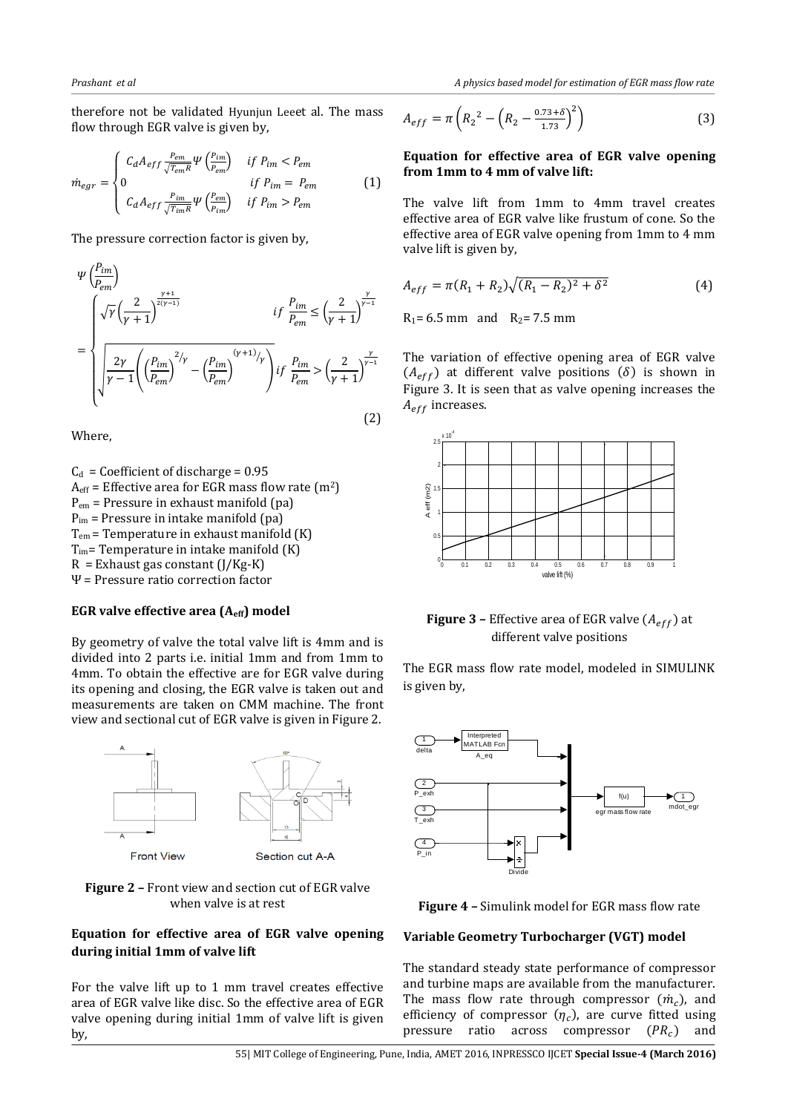therefore not be validated Hyunjun Leeet al. The mass flow through EGR valve is given by,

$$
\dot{m}_{egr} = \begin{cases}\nC_d A_{eff} \frac{P_{em}}{\sqrt{T_{em}R}} \Psi \left(\frac{P_{im}}{P_{em}}\right) & \text{if } P_{im} < P_{em} \\
0 & \text{if } P_{im} = P_{em} \\
C_d A_{eff} \frac{P_{im}}{\sqrt{T_{im}R}} \Psi \left(\frac{P_{em}}{P_{im}}\right) & \text{if } P_{im} > P_{em}\n\end{cases} \tag{1}
$$

The pressure correction factor is given by,

$$
\Psi\left(\frac{P_{im}}{P_{em}}\right)
$$
\n
$$
= \begin{cases}\n\sqrt{\gamma} \left(\frac{2}{\gamma + 1}\right)^{\frac{\gamma + 1}{2(\gamma - 1)}} & \text{if } \frac{P_{im}}{P_{em}} \le \left(\frac{2}{\gamma + 1}\right)^{\frac{\gamma}{\gamma - 1}} \\
\sqrt{\frac{2\gamma}{\gamma - 1} \left(\frac{P_{im}}{P_{em}}\right)^{2/\gamma} - \left(\frac{P_{im}}{P_{em}}\right)^{(\gamma + 1)/\gamma}} & \text{if } \frac{P_{im}}{P_{em}} > \left(\frac{2}{\gamma + 1}\right)^{\frac{\gamma}{\gamma - 1}}\n\end{cases}
$$
\n(2)

Where,

 $C_d$  = Coefficient of discharge = 0.95  $A<sub>eff</sub>$  = Effective area for EGR mass flow rate (m<sup>2</sup>) Pem = Pressure in exhaust manifold (pa) Pim = Pressure in intake manifold (pa)  $T_{em}$  = Temperature in exhaust manifold  $(K)$  $T_{im}$ = Temperature in intake manifold  $(K)$  $R =$  Exhaust gas constant (J/Kg-K) Ψ = Pressure ratio correction factor

#### **EGR valve effective area (Aeff) model**

By geometry of valve the total valve lift is 4mm and is divided into 2 parts i.e. initial 1mm and from 1mm to 4mm. To obtain the effective are for EGR valve during its opening and closing, the EGR valve is taken out and measurements are taken on CMM machine. The front view and sectional cut of EGR valve is given in Figure 2.



**Figure 2 –** Front view and section cut of EGR valve when valve is at rest

## **Equation for effective area of EGR valve opening during initial 1mm of valve lift**

For the valve lift up to 1 mm travel creates effective area of EGR valve like disc. So the effective area of EGR valve opening during initial 1mm of valve lift is given by,

$$
A_{eff} = \pi \left( R_2^2 - \left( R_2 - \frac{0.73 + \delta}{1.73} \right)^2 \right) \tag{3}
$$

## **Equation for effective area of EGR valve opening from 1mm to 4 mm of valve lift:**

The valve lift from 1mm to 4mm travel creates effective area of EGR valve like frustum of cone. So the effective area of EGR valve opening from 1mm to 4 mm valve lift is given by,

$$
A_{eff} = \pi (R_1 + R_2) \sqrt{(R_1 - R_2)^2 + \delta^2}
$$
 (4)

 $R_1$ = 6.5 mm and  $R_2$ = 7.5 mm

The variation of effective opening area of EGR valve  $(A_{eff})$  at different valve positions ( $\delta$ ) is shown in Figure 3. It is seen that as valve opening increases the  $A_{eff}$  increases.



**Figure 3 –** Effective area of EGR valve  $(A_{eff})$  at different valve positions

The EGR mass flow rate model, modeled in SIMULINK is given by,



**Figure 4 –** Simulink model for EGR mass flow rate

## **Variable Geometry Turbocharger (VGT) model**

The standard steady state performance of compressor and turbine maps are available from the manufacturer. The mass flow rate through compressor  $(\dot{m}_c)$ , and efficiency of compressor  $(\eta_c)$ , are curve fitted using pressure ratio across compressor  $(PR_c)$  and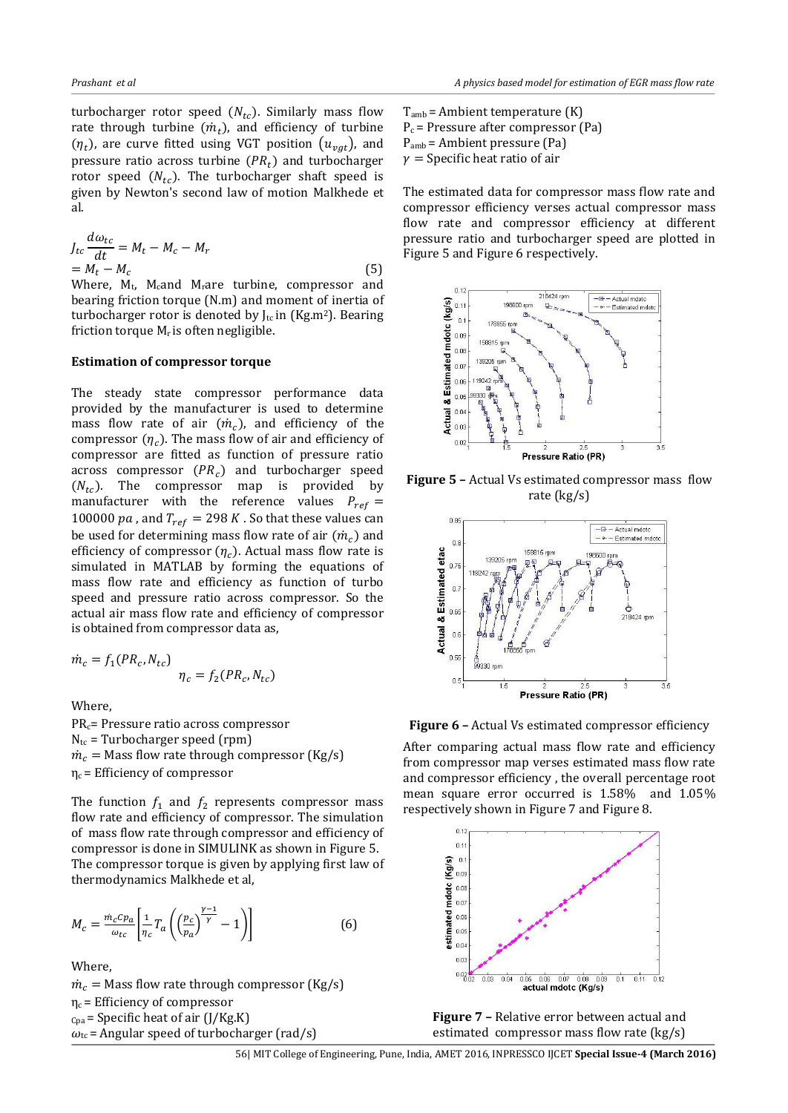turbocharger rotor speed  $(N_{tc})$ . Similarly mass flow rate through turbine  $(\dot{m}_t)$ , and efficiency of turbine  $(\eta_t)$ , are curve fitted using VGT position  $(u_{vat})$ , and pressure ratio across turbine  $(PR_t)$  and turbocharger rotor speed  $(N_{tc})$ . The turbocharger shaft speed is given by Newton's second law of motion Malkhede et al.

$$
J_{tc} \frac{d\omega_{tc}}{dt} = M_t - M_c - M_r
$$
  
=  $M_t - M_c$  (5)  
Where, M<sub>u</sub>, M<sub>c</sub> and M<sub>r</sub> are turbine, compression and  
bearing friction torque (N.m) and moment of inertia of  
turbocharger rotor is denoted by J<sub>tc</sub> in (Kg.m<sup>2</sup>). Bearing

#### **Estimation of compressor torque**

friction torque  $M_r$  is often negligible.

The steady state compressor performance data provided by the manufacturer is used to determine mass flow rate of air  $(\dot{m}_c)$ , and efficiency of the compressor  $(\eta_c)$ . The mass flow of air and efficiency of compressor are fitted as function of pressure ratio across compressor  $(PR_c)$  and turbocharger speed  $(N_{tc})$ . The compressor map is provided by manufacturer with the reference values  $P_{ref}$  = 100000 pa, and  $T_{ref}$  = 298 K. So that these values can be used for determining mass flow rate of air  $(\dot{m}_c)$  and efficiency of compressor  $(\eta_c)$ . Actual mass flow rate is simulated in MATLAB by forming the equations of mass flow rate and efficiency as function of turbo speed and pressure ratio across compressor. So the actual air mass flow rate and efficiency of compressor is obtained from compressor data as,

$$
\dot{m}_c = f_1(PR_c, N_{tc})
$$
  

$$
\eta_c = f_2(PR_c, N_{tc})
$$

Where,

PRc= Pressure ratio across compressor  $N_{\text{tc}}$  = Turbocharger speed (rpm)  $\dot{m}_c$  = Mass flow rate through compressor (Kg/s)  $\eta_c$  = Efficiency of compressor

The function  $f_1$  and  $f_2$  represents compressor mass flow rate and efficiency of compressor. The simulation of mass flow rate through compressor and efficiency of compressor is done in SIMULINK as shown in Figure 5. The compressor torque is given by applying first law of thermodynamics Malkhede et al,

$$
M_c = \frac{m_c c_{pa}}{\omega_{tc}} \left[ \frac{1}{\eta_c} T_a \left( \left( \frac{p_c}{p_a} \right)^{\frac{V-1}{\gamma}} - 1 \right) \right]
$$
 (6)

Where,

 $\dot{m}_c$  = Mass flow rate through compressor (Kg/s)  $\eta_c$  = Efficiency of compressor  $_{Cpa}$  = Specific heat of air (J/Kg.K)  $\omega_{\text{tc}}$  = Angular speed of turbocharger (rad/s)

 $T_{amb}$  = Ambient temperature  $(K)$  $P_c$  = Pressure after compressor (Pa)  $P_{amb}$  = Ambient pressure (Pa)  $\gamma$  = Specific heat ratio of air

The estimated data for compressor mass flow rate and compressor efficiency verses actual compressor mass flow rate and compressor efficiency at different pressure ratio and turbocharger speed are plotted in Figure 5 and Figure 6 respectively.



**Figure 5 –** Actual Vs estimated compressor mass flow rate (kg/s)



**Figure 6 –** Actual Vs estimated compressor efficiency

After comparing actual mass flow rate and efficiency from compressor map verses estimated mass flow rate and compressor efficiency , the overall percentage root mean square error occurred is 1.58% and 1.05% respectively shown in Figure 7 and Figure 8.



**Figure 7 –** Relative error between actual and estimated compressor mass flow rate (kg/s)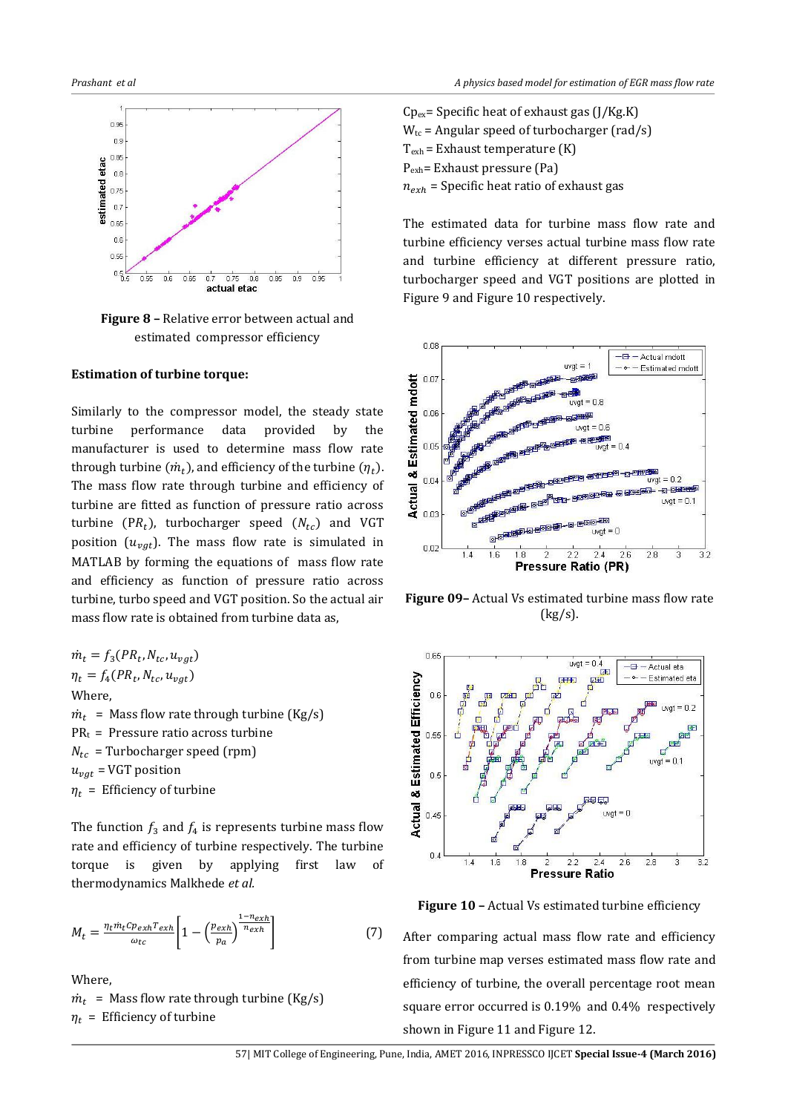

**Figure 8 –** Relative error between actual and estimated compressor efficiency

## **Estimation of turbine torque:**

Similarly to the compressor model, the steady state turbine performance data provided by the manufacturer is used to determine mass flow rate through turbine  $(\dot{m}_t)$ , and efficiency of the turbine  $(\eta_t)$ . The mass flow rate through turbine and efficiency of turbine are fitted as function of pressure ratio across turbine (PR<sub>t</sub>), turbocharger speed ( $N_{tc}$ ) and VGT position  $(u_{vat})$ . The mass flow rate is simulated in MATLAB by forming the equations of mass flow rate and efficiency as function of pressure ratio across turbine, turbo speed and VGT position. So the actual air mass flow rate is obtained from turbine data as,

 $\dot{m}_t = f_3(PR_t)$  $\eta_t = f_4(PR_t)$ Where,  $\dot{m}_t$  = Mass flow rate through turbine (Kg/s)  $PR_t$  = Pressure ratio across turbine  $N_{tc}$  = Turbocharger speed (rpm)  $u_{vgt}$  = VGT position  $\eta_t$  = Efficiency of turbine

The function  $f_3$  and  $f_4$  is represents turbine mass flow rate and efficiency of turbine respectively. The turbine torque is given by applying first law of thermodynamics Malkhede *et al.*

$$
M_t = \frac{\eta_t \dot{m}_t c p_{exh} T_{exh}}{\omega_{tc}} \left[ 1 - \left( \frac{p_{exh}}{p_a} \right)^{\frac{1 - n_{exh}}{n_{exh}}} \right] \tag{7}
$$

Where,

 $\dot{m}_t$  = Mass flow rate through turbine (Kg/s)  $\eta_t$  = Efficiency of turbine

 $C_{\text{Dex}}$ = Specific heat of exhaust gas (J/Kg.K)  $W_{tc}$  = Angular speed of turbocharger (rad/s)  $T_{exh}$  = Exhaust temperature  $(K)$ Pexh= Exhaust pressure (Pa)  $n_{exh}$  = Specific heat ratio of exhaust gas

The estimated data for turbine mass flow rate and turbine efficiency verses actual turbine mass flow rate and turbine efficiency at different pressure ratio, turbocharger speed and VGT positions are plotted in Figure 9 and Figure 10 respectively.



**Figure 09–** Actual Vs estimated turbine mass flow rate (kg/s).



**Figure 10 –** Actual Vs estimated turbine efficiency

After comparing actual mass flow rate and efficiency from turbine map verses estimated mass flow rate and efficiency of turbine, the overall percentage root mean square error occurred is 0.19% and 0.4% respectively shown in Figure 11 and Figure 12.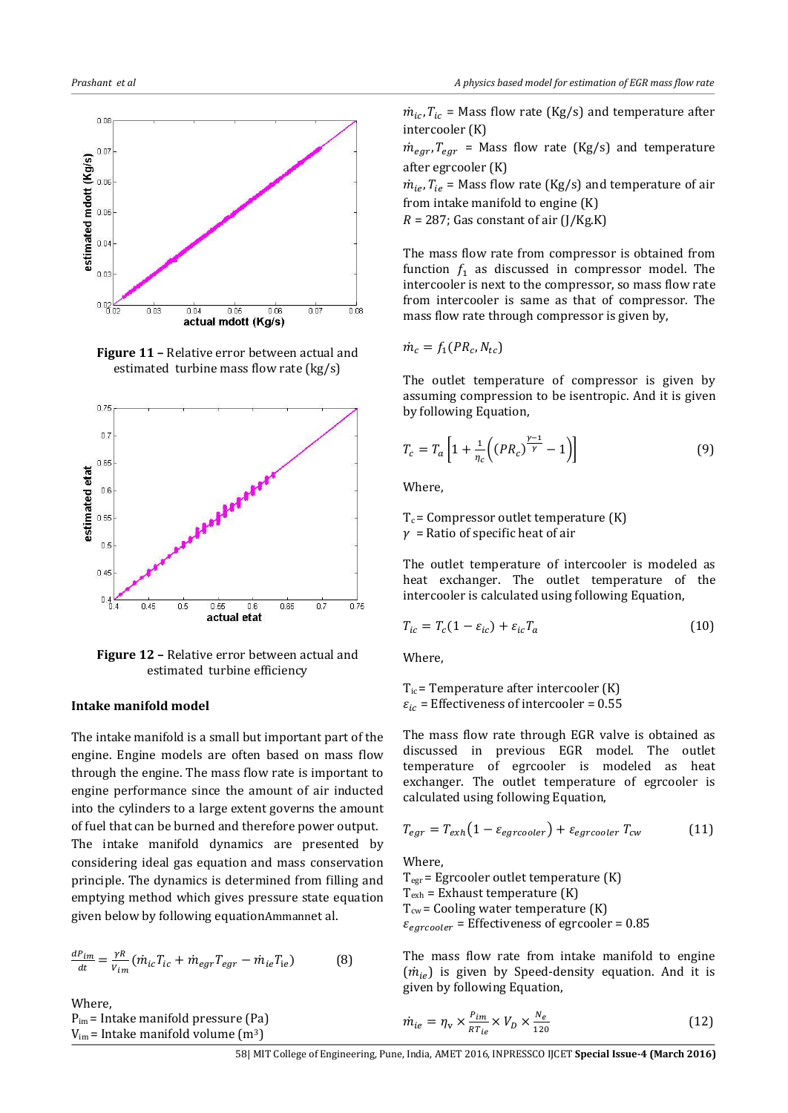

**Figure 11 –** Relative error between actual and estimated turbine mass flow rate (kg/s)



**Figure 12 –** Relative error between actual and estimated turbine efficiency

## **Intake manifold model**

The intake manifold is a small but important part of the engine. Engine models are often based on mass flow through the engine. The mass flow rate is important to engine performance since the amount of air inducted into the cylinders to a large extent governs the amount of fuel that can be burned and therefore power output. The intake manifold dynamics are presented by considering ideal gas equation and mass conservation principle. The dynamics is determined from filling and emptying method which gives pressure state equation given below by following equationAmmannet al.

$$
\frac{dP_{im}}{dt} = \frac{\gamma R}{V_{im}} (\dot{m}_{ic} T_{ic} + \dot{m}_{egr} T_{egr} - \dot{m}_{ie} T_{ie})
$$
(8)

Where, Pim = Intake manifold pressure (Pa)  $V_{\text{im}}$  = Intake manifold volume (m<sup>3</sup>)

 $\dot{m}_{ic}$ ,  $T_{ic}$  = Mass flow rate (Kg/s) and temperature after intercooler (K)

 $\dot{m}_{ear}$ ,  $T_{ear}$  = Mass flow rate (Kg/s) and temperature after egrcooler (K)

 $\dot{m}_{ie}$ ,  $T_{ie}$  = Mass flow rate (Kg/s) and temperature of air from intake manifold to engine (K)

 $R = 287$ ; Gas constant of air (J/Kg.K)

The mass flow rate from compressor is obtained from function  $f_1$  as discussed in compressor model. The intercooler is next to the compressor, so mass flow rate from intercooler is same as that of compressor. The mass flow rate through compressor is given by,

$$
\dot{m}_c = f_1(PR_c, N_{tc})
$$

The outlet temperature of compressor is given by assuming compression to be isentropic. And it is given by following Equation,

$$
T_c = T_a \left[ 1 + \frac{1}{\eta_c} \left( \left( PR_c \right)^{\frac{\gamma - 1}{\gamma}} - 1 \right) \right]
$$
 (9)

Where,

 $T_c$  = Compressor outlet temperature  $(K)$  $y =$ Ratio of specific heat of air

The outlet temperature of intercooler is modeled as heat exchanger. The outlet temperature of the intercooler is calculated using following Equation,

$$
T_{ic} = T_c (1 - \varepsilon_{ic}) + \varepsilon_{ic} T_a \tag{10}
$$

Where,

 $T_{ic}$  = Temperature after intercooler  $(K)$  $\varepsilon_{ic}$  = Effectiveness of intercooler = 0.55

The mass flow rate through EGR valve is obtained as discussed in previous EGR model. The outlet temperature of egrcooler is modeled as heat exchanger. The outlet temperature of egrcooler is calculated using following Equation,

$$
T_{egr} = T_{exh} \left( 1 - \varepsilon_{egrcooler} \right) + \varepsilon_{egrcooler} T_{cw}
$$
 (11)

Where,

Tegr = Egrcooler outlet temperature (K)

 $T_{exh}$  = Exhaust temperature  $(K)$  $T_{cw}$  = Cooling water temperature (K)

 $\varepsilon_{earcooler}$  = Effectiveness of egrcooler = 0.85

The mass flow rate from intake manifold to engine  $(m_{ie})$  is given by Speed-density equation. And it is given by following Equation,

$$
\dot{m}_{ie} = \eta_{\rm v} \times \frac{P_{im}}{RT_{ie}} \times V_D \times \frac{N_e}{120}
$$
\n(12)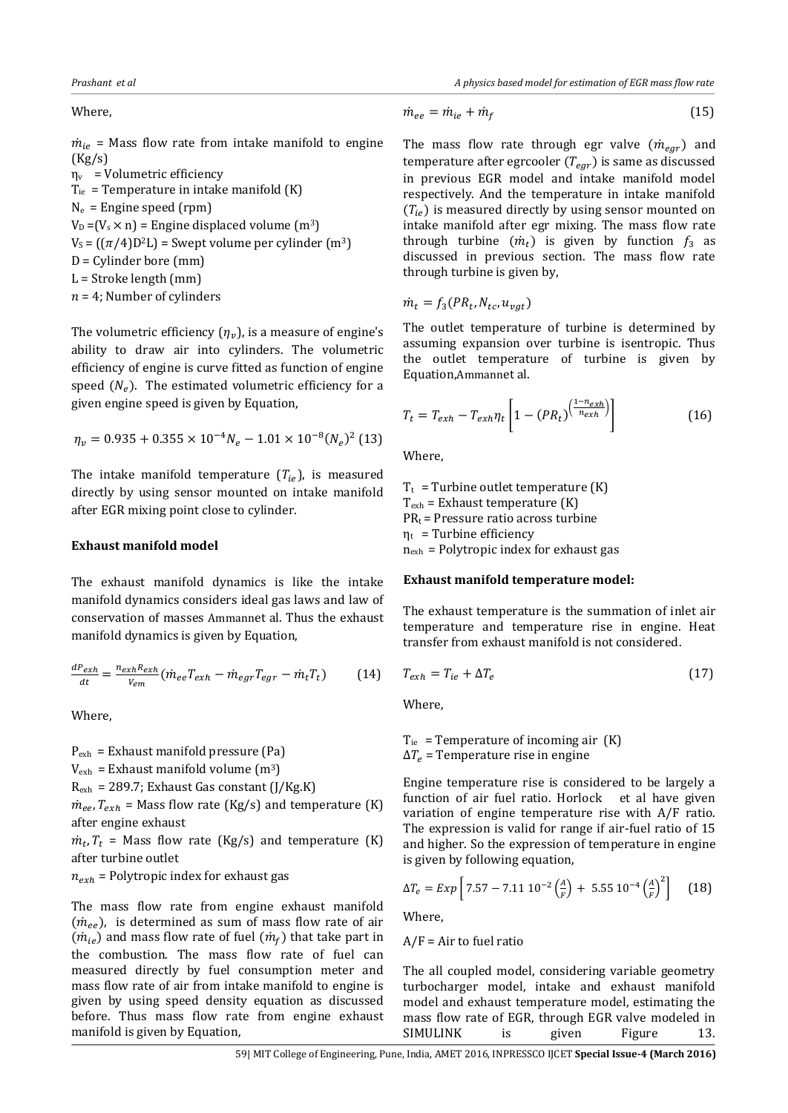Where,

*Prashant et al A physics based model for estimation of EGR mass flow rate* 

 $\dot{m}_{ie}$  = Mass flow rate from intake manifold to engine  $(Kg/s)$ 

 $\eta_v$  = Volumetric efficiency  $T_{ie}$  = Temperature in intake manifold  $(K)$  $N_e$  = Engine speed (rpm)  $V_D = (V_s \times n) =$  Engine displaced volume  $(m<sup>3</sup>)$  $V_S = ((\pi/4)D^2L)$  = Swept volume per cylinder (m<sup>3</sup>) D = Cylinder bore (mm)  $L =$  Stroke length  $(mm)$  $n = 4$ ; Number of cylinders

The volumetric efficiency  $(\eta_v)$ , is a measure of engine's ability to draw air into cylinders. The volumetric efficiency of engine is curve fitted as function of engine speed  $(N_e)$ . The estimated volumetric efficiency for a given engine speed is given by Equation,

$$
\eta_v = 0.935 + 0.355 \times 10^{-4} N_e - 1.01 \times 10^{-8} (N_e)^2
$$
 (13)

The intake manifold temperature  $(T_{ie})$ , is measured directly by using sensor mounted on intake manifold after EGR mixing point close to cylinder.

## **Exhaust manifold model**

The exhaust manifold dynamics is like the intake manifold dynamics considers ideal gas laws and law of conservation of masses Ammannet al. Thus the exhaust manifold dynamics is given by Equation,

$$
\frac{dP_{exh}}{dt} = \frac{n_{exh}R_{exh}}{V_{em}} (\dot{m}_{ee}T_{exh} - \dot{m}_{egr}T_{egr} - \dot{m}_t T_t)
$$
(14)

Where,

 $P_{exh}$  = Exhaust manifold pressure (Pa)

 $V_{exh}$  = Exhaust manifold volume (m<sup>3</sup>)

Rexh = 289.7; Exhaust Gas constant (J/Kg.K)

 $\dot{m}_{ee}$ ,  $T_{exh}$  = Mass flow rate (Kg/s) and temperature (K) after engine exhaust

 $\dot{m}_t$ ,  $T_t$  = Mass flow rate (Kg/s) and temperature (K) after turbine outlet

 $n_{exh}$  = Polytropic index for exhaust gas

The mass flow rate from engine exhaust manifold  $(\dot{m}_{ee})$ , is determined as sum of mass flow rate of air  $(m_{ie})$  and mass flow rate of fuel  $(m_f)$  that take part in the combustion. The mass flow rate of fuel can measured directly by fuel consumption meter and mass flow rate of air from intake manifold to engine is given by using speed density equation as discussed before. Thus mass flow rate from engine exhaust manifold is given by Equation,

$$
\dot{m}_{ee} = \dot{m}_{ie} + \dot{m}_f \tag{15}
$$

The mass flow rate through egr valve  $(\dot{m}_{eqr})$  and temperature after egrcooler  $(T_{\text{ear}})$  is same as discussed in previous EGR model and intake manifold model respectively. And the temperature in intake manifold  $(T_{ie})$  is measured directly by using sensor mounted on intake manifold after egr mixing. The mass flow rate through turbine  $(\dot{m}_t)$  is given by function  $f_3$  as discussed in previous section. The mass flow rate through turbine is given by,

$$
\dot{m}_t = f_3(PR_t, N_{tc}, u_{vgt})
$$

The outlet temperature of turbine is determined by assuming expansion over turbine is isentropic. Thus the outlet temperature of turbine is given by Equation,Ammannet al.

$$
T_t = T_{exh} - T_{exh} \eta_t \left[ 1 - \left( PR_t \right)^{\left( \frac{1 - n_{exh}}{n_{exh}} \right)} \right]
$$
(16)

Where,

 $T_t$  = Turbine outlet temperature (K)  $T_{exh}$  = Exhaust temperature (K)  $PR_t$  = Pressure ratio across turbine  $\eta_t$  = Turbine efficiency  $n<sub>exh</sub>$  = Polytropic index for exhaust gas

#### **Exhaust manifold temperature model:**

The exhaust temperature is the summation of inlet air temperature and temperature rise in engine. Heat transfer from exhaust manifold is not considered.

$$
T_{exh} = T_{ie} + \Delta T_e \tag{17}
$$

Where,

 $T_{ie}$  = Temperature of incoming air (K)  $\Delta T_e$  = Temperature rise in engine

Engine temperature rise is considered to be largely a function of air fuel ratio. Horlock et al have given variation of engine temperature rise with A/F ratio. The expression is valid for range if air-fuel ratio of 15 and higher. So the expression of temperature in engine is given by following equation,

$$
\Delta T_e = Exp \left[ 7.57 - 7.11 \, 10^{-2} \left( \frac{A}{F} \right) + 5.55 \, 10^{-4} \left( \frac{A}{F} \right)^2 \right] \tag{18}
$$

Where,

 $A/F = Air to fuel ratio$ 

The all coupled model, considering variable geometry turbocharger model, intake and exhaust manifold model and exhaust temperature model, estimating the mass flow rate of EGR, through EGR valve modeled in SIMULINK is given Figure 13.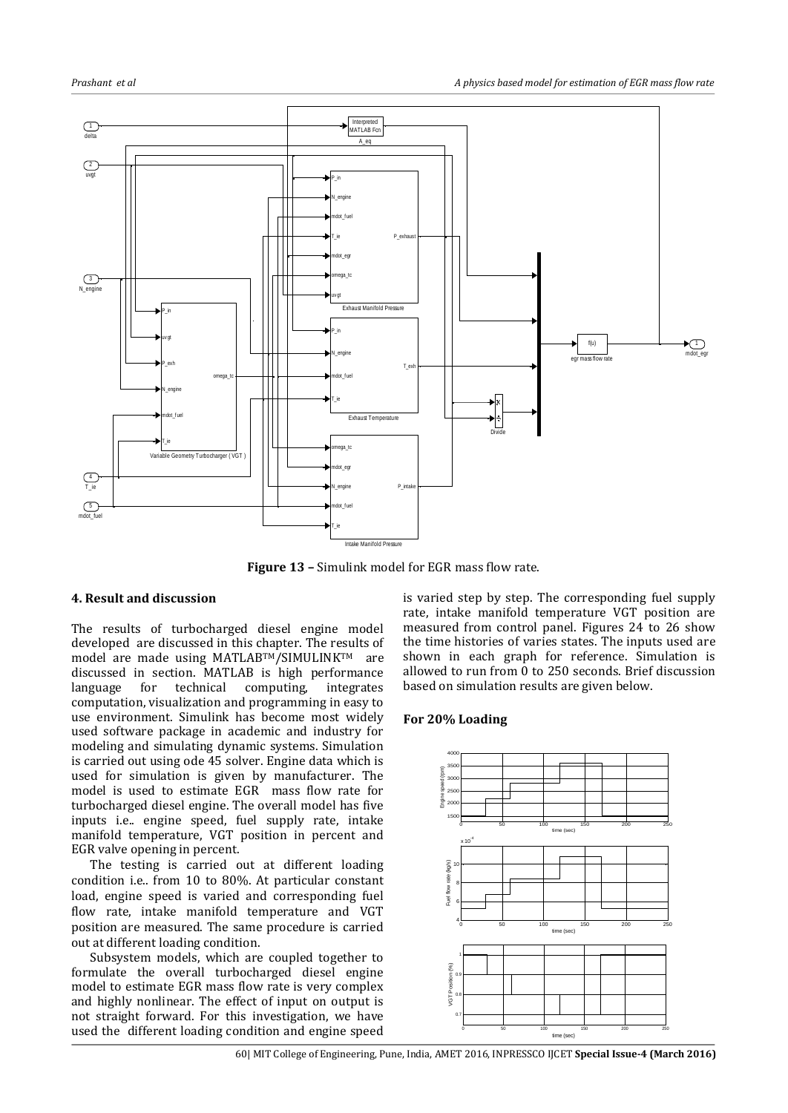

**Figure 13 –** Simulink model for EGR mass flow rate.

## **4. Result and discussion**

The results of turbocharged diesel engine model developed are discussed in this chapter. The results of model are made using MATLABTM/SIMULINKTM are discussed in section. MATLAB is high performance language for technical computing, integrates computation, visualization and programming in easy to use environment. Simulink has become most widely used software package in academic and industry for modeling and simulating dynamic systems. Simulation is carried out using ode 45 solver. Engine data which is used for simulation is given by manufacturer. The model is used to estimate EGR mass flow rate for turbocharged diesel engine. The overall model has five inputs i.e.. engine speed, fuel supply rate, intake manifold temperature, VGT position in percent and EGR valve opening in percent.

The testing is carried out at different loading condition i.e.. from 10 to 80%. At particular constant load, engine speed is varied and corresponding fuel flow rate, intake manifold temperature and VGT position are measured. The same procedure is carried out at different loading condition.

Subsystem models, which are coupled together to formulate the overall turbocharged diesel engine model to estimate EGR mass flow rate is very complex and highly nonlinear. The effect of input on output is not straight forward. For this investigation, we have used the different loading condition and engine speed is varied step by step. The corresponding fuel supply rate, intake manifold temperature VGT position are measured from control panel. Figures 24 to 26 show the time histories of varies states. The inputs used are shown in each graph for reference. Simulation is allowed to run from 0 to 250 seconds. Brief discussion based on simulation results are given below.

## **For 20% Loading**

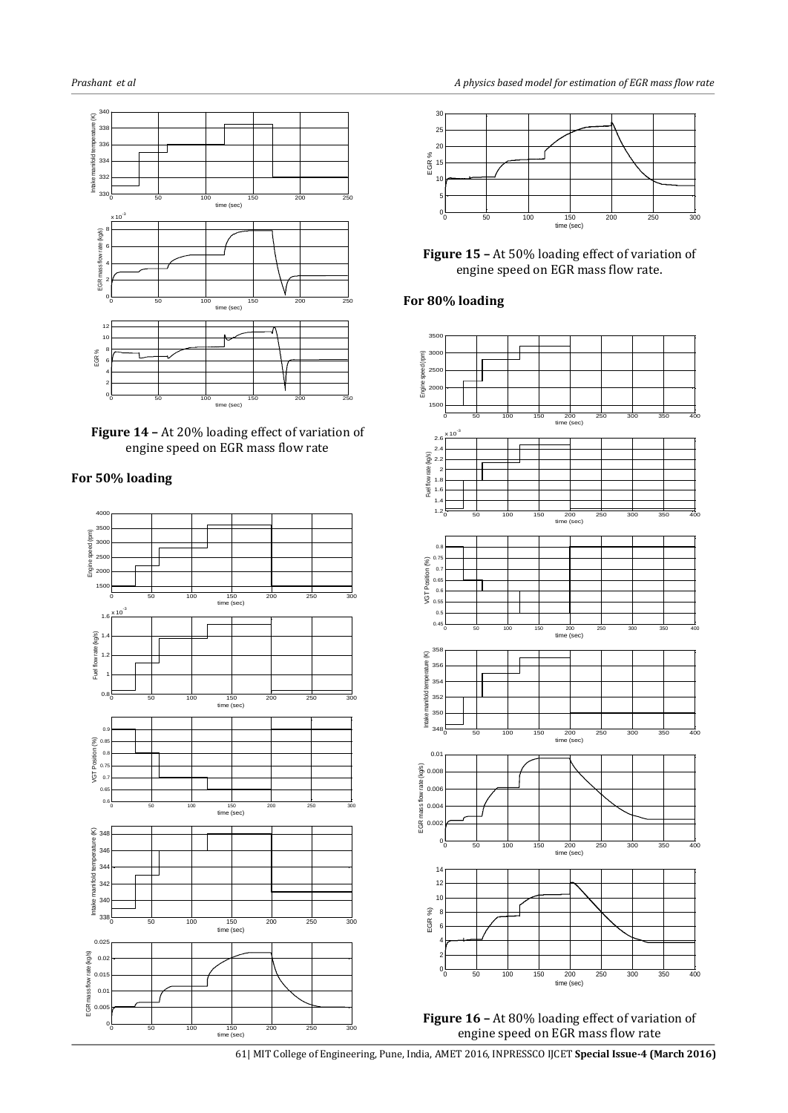

**Figure 14 –** At 20% loading effect of variation of engine speed on EGR mass flow rate

# **For 50% loading**









# **For 80% loading**